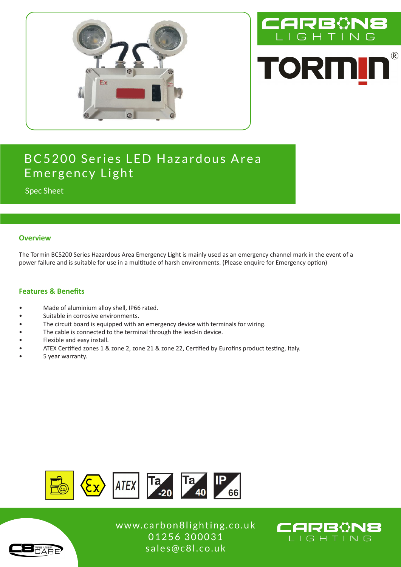



# BC5200 Series LED Hazardous Area Emergency Light

Spec Sheet

#### **Overview**

The Tormin BC5200 Series Hazardous Area Emergency Light is mainly used as an emergency channel mark in the event of a power failure and is suitable for use in a multitude of harsh environments. (Please enquire for Emergency option)

#### **Features & Benefits**

- Made of aluminium alloy shell, IP66 rated.
- Suitable in corrosive environments.
- The circuit board is equipped with an emergency device with terminals for wiring.
- The cable is connected to the terminal through the lead-in device.
- Flexible and easy install.
- ATEX Certified zones 1 & zone 2, zone 21 & zone 22, Certified by Eurofins product testing, Italy.
- 5 year warranty.



www.carbon8lighting.co.uk 01256 300031 sales@c8l.co.uk